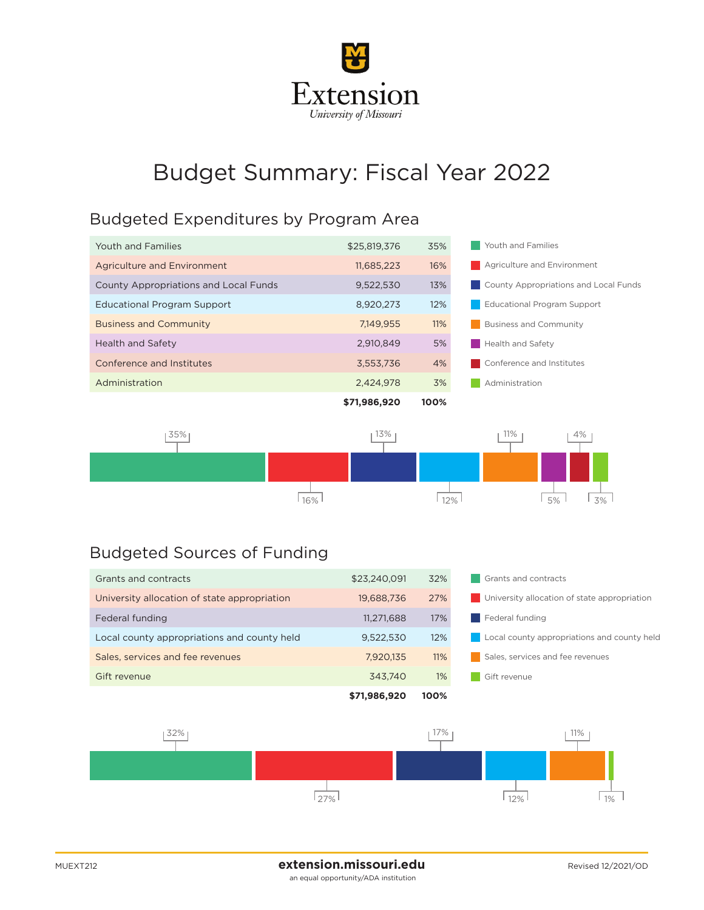

# Budget Summary: Fiscal Year 2022

#### Budgeted Expenditures by Program Area

|                                              | \$71,986,920 | 100% |                                       |
|----------------------------------------------|--------------|------|---------------------------------------|
| Administration                               | 2,424,978    | 3%   | Administration                        |
| Conference and Institutes                    | 3,553,736    | 4%   | Conference and Institutes             |
| Health and Safety                            | 2.910.849    | 5%   | <b>Health and Safety</b>              |
| <b>Business and Community</b>                | 7.149.955    | 11%  | <b>Business and Community</b>         |
| <b>Educational Program Support</b>           | 8,920,273    | 12%  | <b>Educational Program Support</b>    |
| <b>County Appropriations and Local Funds</b> | 9,522,530    | 13%  | County Appropriations and Local Funds |
| Agriculture and Environment                  | 11,685,223   | 16%  | Agriculture and Environment           |
| Youth and Families                           | \$25,819,376 | 35%  | Youth and Families                    |
|                                              |              |      |                                       |



### Budgeted Sources of Funding

|                                              | \$71,986,920 | 100%  |                                              |
|----------------------------------------------|--------------|-------|----------------------------------------------|
| Gift revenue                                 | 343.740      | $1\%$ | Gift revenue                                 |
| Sales, services and fee revenues             | 7,920,135    | 11%   | Sales, services and fee revenues             |
| Local county appropriations and county held  | 9,522,530    | 12%   | Local county appropriations and county held  |
| Federal funding                              | 11,271,688   | 17%   | Federal funding                              |
| University allocation of state appropriation | 19,688,736   | 27%   | University allocation of state appropriation |
| Grants and contracts                         | \$23,240,091 | 32%   | Grants and contracts                         |